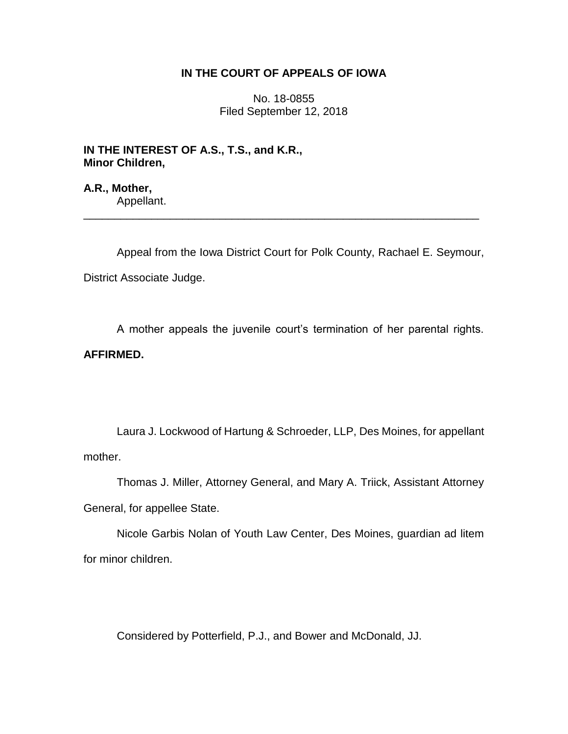# **IN THE COURT OF APPEALS OF IOWA**

No. 18-0855 Filed September 12, 2018

**IN THE INTEREST OF A.S., T.S., and K.R., Minor Children,**

**A.R., Mother,** Appellant.

Appeal from the Iowa District Court for Polk County, Rachael E. Seymour, District Associate Judge.

\_\_\_\_\_\_\_\_\_\_\_\_\_\_\_\_\_\_\_\_\_\_\_\_\_\_\_\_\_\_\_\_\_\_\_\_\_\_\_\_\_\_\_\_\_\_\_\_\_\_\_\_\_\_\_\_\_\_\_\_\_\_\_\_

A mother appeals the juvenile court's termination of her parental rights. **AFFIRMED.**

Laura J. Lockwood of Hartung & Schroeder, LLP, Des Moines, for appellant mother.

Thomas J. Miller, Attorney General, and Mary A. Triick, Assistant Attorney General, for appellee State.

Nicole Garbis Nolan of Youth Law Center, Des Moines, guardian ad litem for minor children.

Considered by Potterfield, P.J., and Bower and McDonald, JJ.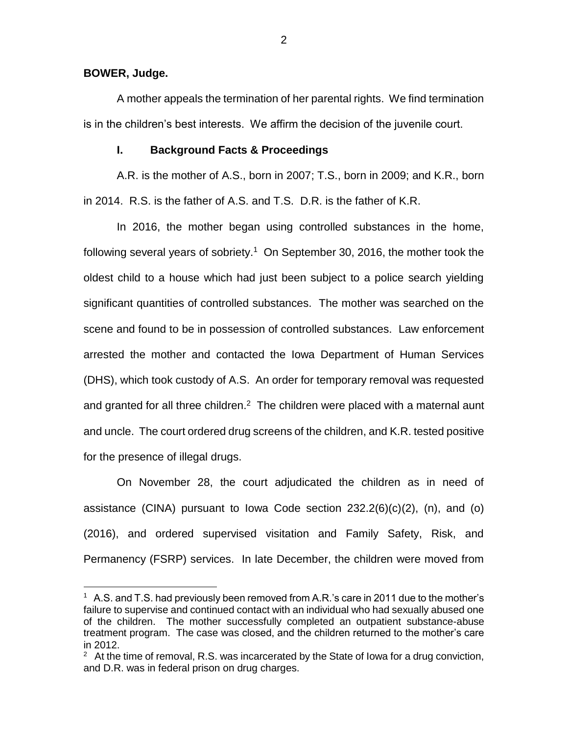**BOWER, Judge.**

 $\overline{a}$ 

A mother appeals the termination of her parental rights. We find termination is in the children's best interests. We affirm the decision of the juvenile court.

#### **I. Background Facts & Proceedings**

A.R. is the mother of A.S., born in 2007; T.S., born in 2009; and K.R., born in 2014. R.S. is the father of A.S. and T.S. D.R. is the father of K.R.

In 2016, the mother began using controlled substances in the home, following several years of sobriety.<sup>1</sup> On September 30, 2016, the mother took the oldest child to a house which had just been subject to a police search yielding significant quantities of controlled substances. The mother was searched on the scene and found to be in possession of controlled substances. Law enforcement arrested the mother and contacted the Iowa Department of Human Services (DHS), which took custody of A.S. An order for temporary removal was requested and granted for all three children. $2$  The children were placed with a maternal aunt and uncle. The court ordered drug screens of the children, and K.R. tested positive for the presence of illegal drugs.

On November 28, the court adjudicated the children as in need of assistance (CINA) pursuant to lowa Code section  $232.2(6)(c)(2)$ , (n), and (o) (2016), and ordered supervised visitation and Family Safety, Risk, and Permanency (FSRP) services. In late December, the children were moved from

 $1$  A.S. and T.S. had previously been removed from A.R.'s care in 2011 due to the mother's failure to supervise and continued contact with an individual who had sexually abused one of the children. The mother successfully completed an outpatient substance-abuse treatment program. The case was closed, and the children returned to the mother's care in 2012.

 $2$  At the time of removal, R.S. was incarcerated by the State of lowa for a drug conviction, and D.R. was in federal prison on drug charges.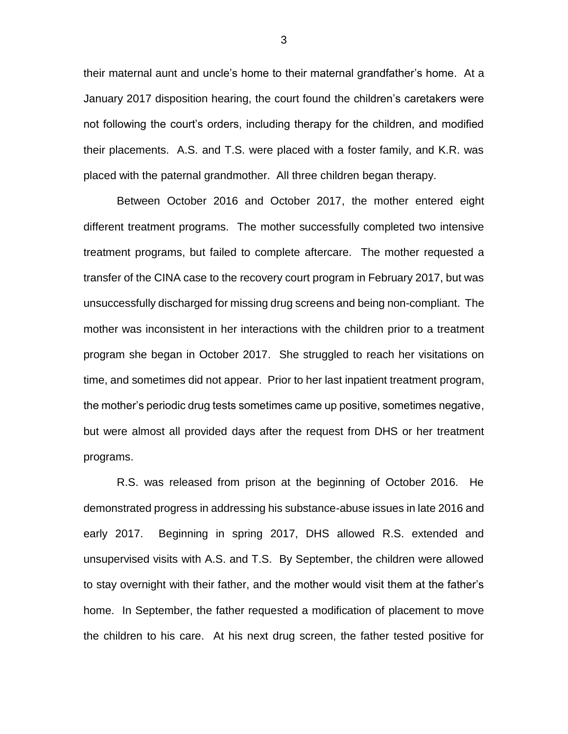their maternal aunt and uncle's home to their maternal grandfather's home. At a January 2017 disposition hearing, the court found the children's caretakers were not following the court's orders, including therapy for the children, and modified their placements. A.S. and T.S. were placed with a foster family, and K.R. was placed with the paternal grandmother. All three children began therapy.

Between October 2016 and October 2017, the mother entered eight different treatment programs. The mother successfully completed two intensive treatment programs, but failed to complete aftercare. The mother requested a transfer of the CINA case to the recovery court program in February 2017, but was unsuccessfully discharged for missing drug screens and being non-compliant. The mother was inconsistent in her interactions with the children prior to a treatment program she began in October 2017. She struggled to reach her visitations on time, and sometimes did not appear. Prior to her last inpatient treatment program, the mother's periodic drug tests sometimes came up positive, sometimes negative, but were almost all provided days after the request from DHS or her treatment programs.

R.S. was released from prison at the beginning of October 2016. He demonstrated progress in addressing his substance-abuse issues in late 2016 and early 2017. Beginning in spring 2017, DHS allowed R.S. extended and unsupervised visits with A.S. and T.S. By September, the children were allowed to stay overnight with their father, and the mother would visit them at the father's home. In September, the father requested a modification of placement to move the children to his care. At his next drug screen, the father tested positive for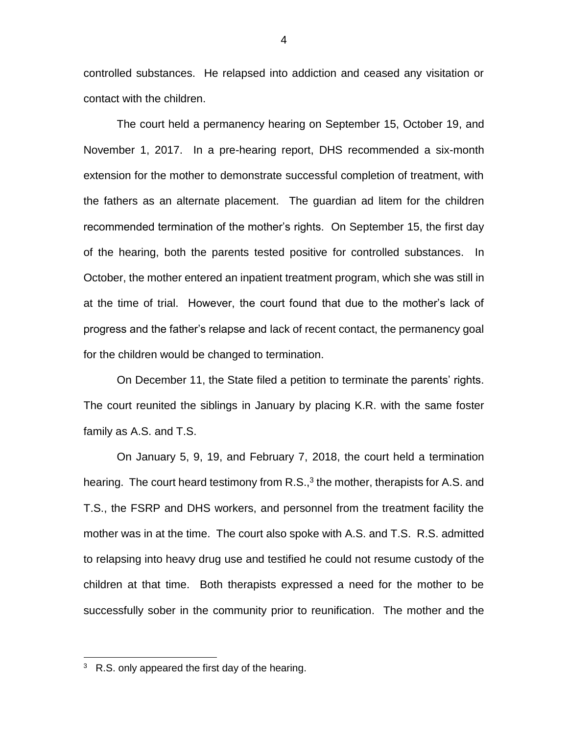controlled substances. He relapsed into addiction and ceased any visitation or contact with the children.

The court held a permanency hearing on September 15, October 19, and November 1, 2017. In a pre-hearing report, DHS recommended a six-month extension for the mother to demonstrate successful completion of treatment, with the fathers as an alternate placement. The guardian ad litem for the children recommended termination of the mother's rights. On September 15, the first day of the hearing, both the parents tested positive for controlled substances. In October, the mother entered an inpatient treatment program, which she was still in at the time of trial. However, the court found that due to the mother's lack of progress and the father's relapse and lack of recent contact, the permanency goal for the children would be changed to termination.

On December 11, the State filed a petition to terminate the parents' rights. The court reunited the siblings in January by placing K.R. with the same foster family as A.S. and T.S.

On January 5, 9, 19, and February 7, 2018, the court held a termination hearing. The court heard testimony from R.S.,<sup>3</sup> the mother, therapists for A.S. and T.S., the FSRP and DHS workers, and personnel from the treatment facility the mother was in at the time. The court also spoke with A.S. and T.S. R.S. admitted to relapsing into heavy drug use and testified he could not resume custody of the children at that time. Both therapists expressed a need for the mother to be successfully sober in the community prior to reunification. The mother and the

 $\overline{a}$ 

 $3\,$  R.S. only appeared the first day of the hearing.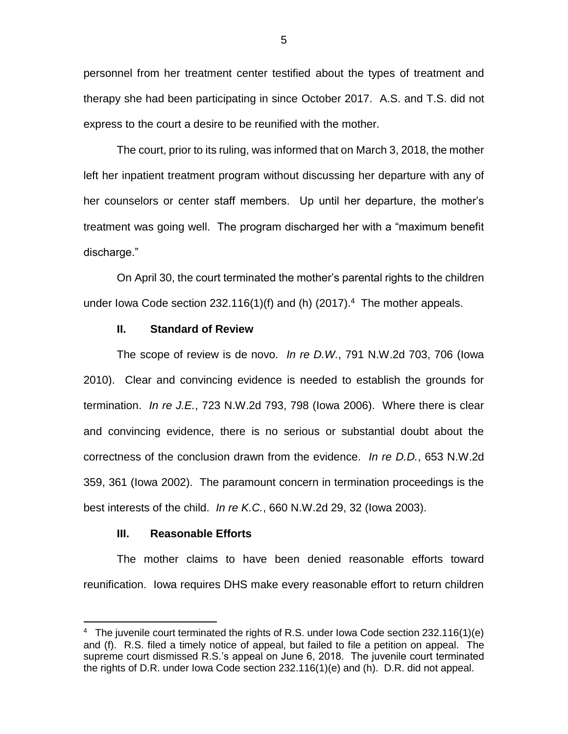personnel from her treatment center testified about the types of treatment and therapy she had been participating in since October 2017. A.S. and T.S. did not express to the court a desire to be reunified with the mother.

The court, prior to its ruling, was informed that on March 3, 2018, the mother left her inpatient treatment program without discussing her departure with any of her counselors or center staff members. Up until her departure, the mother's treatment was going well. The program discharged her with a "maximum benefit discharge."

On April 30, the court terminated the mother's parental rights to the children under lowa Code section 232.116(1)(f) and (h)  $(2017).<sup>4</sup>$  The mother appeals.

## **II. Standard of Review**

The scope of review is de novo. *In re D.W.*, 791 N.W.2d 703, 706 (Iowa 2010). Clear and convincing evidence is needed to establish the grounds for termination. *In re J.E.*, 723 N.W.2d 793, 798 (Iowa 2006). Where there is clear and convincing evidence, there is no serious or substantial doubt about the correctness of the conclusion drawn from the evidence. *In re D.D.*, 653 N.W.2d 359, 361 (Iowa 2002). The paramount concern in termination proceedings is the best interests of the child. *In re K.C.*, 660 N.W.2d 29, 32 (Iowa 2003).

## **III. Reasonable Efforts**

 $\overline{a}$ 

The mother claims to have been denied reasonable efforts toward reunification. Iowa requires DHS make every reasonable effort to return children

<sup>&</sup>lt;sup>4</sup> The juvenile court terminated the rights of R.S. under lowa Code section 232.116(1)(e) and (f). R.S. filed a timely notice of appeal, but failed to file a petition on appeal. The supreme court dismissed R.S.'s appeal on June 6, 2018. The juvenile court terminated the rights of D.R. under Iowa Code section 232.116(1)(e) and (h). D.R. did not appeal.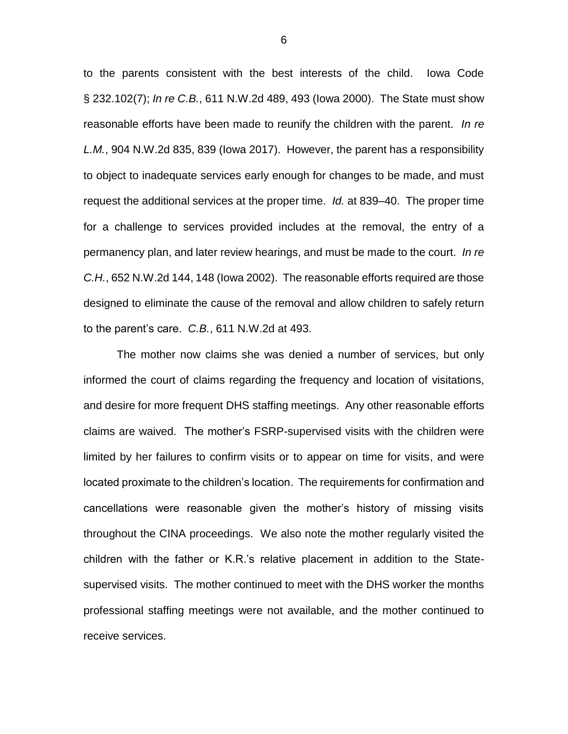to the parents consistent with the best interests of the child. Iowa Code § 232.102(7); *In re C.B.*, 611 N.W.2d 489, 493 (Iowa 2000). The State must show reasonable efforts have been made to reunify the children with the parent. *In re L.M.*, 904 N.W.2d 835, 839 (Iowa 2017). However, the parent has a responsibility to object to inadequate services early enough for changes to be made, and must request the additional services at the proper time. *Id.* at 839–40. The proper time for a challenge to services provided includes at the removal, the entry of a permanency plan, and later review hearings, and must be made to the court. *In re C.H.*, 652 N.W.2d 144, 148 (Iowa 2002). The reasonable efforts required are those designed to eliminate the cause of the removal and allow children to safely return to the parent's care. *C.B.*, 611 N.W.2d at 493.

The mother now claims she was denied a number of services, but only informed the court of claims regarding the frequency and location of visitations, and desire for more frequent DHS staffing meetings. Any other reasonable efforts claims are waived. The mother's FSRP-supervised visits with the children were limited by her failures to confirm visits or to appear on time for visits, and were located proximate to the children's location. The requirements for confirmation and cancellations were reasonable given the mother's history of missing visits throughout the CINA proceedings. We also note the mother regularly visited the children with the father or K.R.'s relative placement in addition to the Statesupervised visits. The mother continued to meet with the DHS worker the months professional staffing meetings were not available, and the mother continued to receive services.

6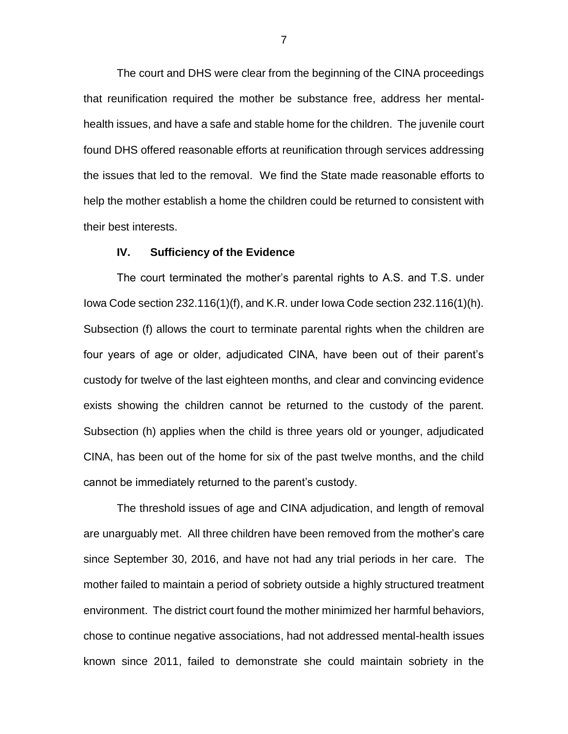The court and DHS were clear from the beginning of the CINA proceedings that reunification required the mother be substance free, address her mentalhealth issues, and have a safe and stable home for the children. The juvenile court found DHS offered reasonable efforts at reunification through services addressing the issues that led to the removal. We find the State made reasonable efforts to help the mother establish a home the children could be returned to consistent with their best interests.

## **IV. Sufficiency of the Evidence**

The court terminated the mother's parental rights to A.S. and T.S. under Iowa Code section 232.116(1)(f), and K.R. under Iowa Code section 232.116(1)(h). Subsection (f) allows the court to terminate parental rights when the children are four years of age or older, adjudicated CINA, have been out of their parent's custody for twelve of the last eighteen months, and clear and convincing evidence exists showing the children cannot be returned to the custody of the parent. Subsection (h) applies when the child is three years old or younger, adjudicated CINA, has been out of the home for six of the past twelve months, and the child cannot be immediately returned to the parent's custody.

The threshold issues of age and CINA adjudication, and length of removal are unarguably met. All three children have been removed from the mother's care since September 30, 2016, and have not had any trial periods in her care. The mother failed to maintain a period of sobriety outside a highly structured treatment environment. The district court found the mother minimized her harmful behaviors, chose to continue negative associations, had not addressed mental-health issues known since 2011, failed to demonstrate she could maintain sobriety in the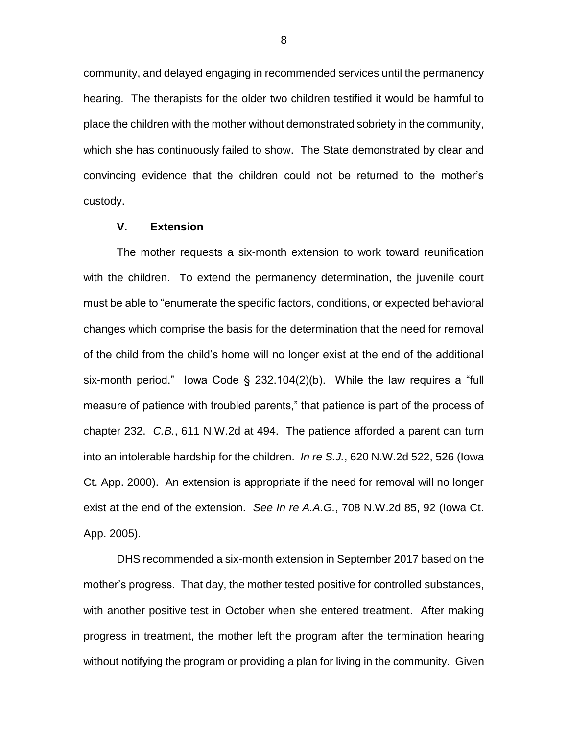community, and delayed engaging in recommended services until the permanency hearing. The therapists for the older two children testified it would be harmful to place the children with the mother without demonstrated sobriety in the community, which she has continuously failed to show. The State demonstrated by clear and convincing evidence that the children could not be returned to the mother's custody.

## **V. Extension**

The mother requests a six-month extension to work toward reunification with the children. To extend the permanency determination, the juvenile court must be able to "enumerate the specific factors, conditions, or expected behavioral changes which comprise the basis for the determination that the need for removal of the child from the child's home will no longer exist at the end of the additional six-month period." Iowa Code § 232.104(2)(b). While the law requires a "full measure of patience with troubled parents," that patience is part of the process of chapter 232. *C.B.*, 611 N.W.2d at 494. The patience afforded a parent can turn into an intolerable hardship for the children. *In re S.J.*, 620 N.W.2d 522, 526 (Iowa Ct. App. 2000). An extension is appropriate if the need for removal will no longer exist at the end of the extension. *See In re A.A.G.*, 708 N.W.2d 85, 92 (Iowa Ct. App. 2005).

DHS recommended a six-month extension in September 2017 based on the mother's progress. That day, the mother tested positive for controlled substances, with another positive test in October when she entered treatment. After making progress in treatment, the mother left the program after the termination hearing without notifying the program or providing a plan for living in the community. Given

8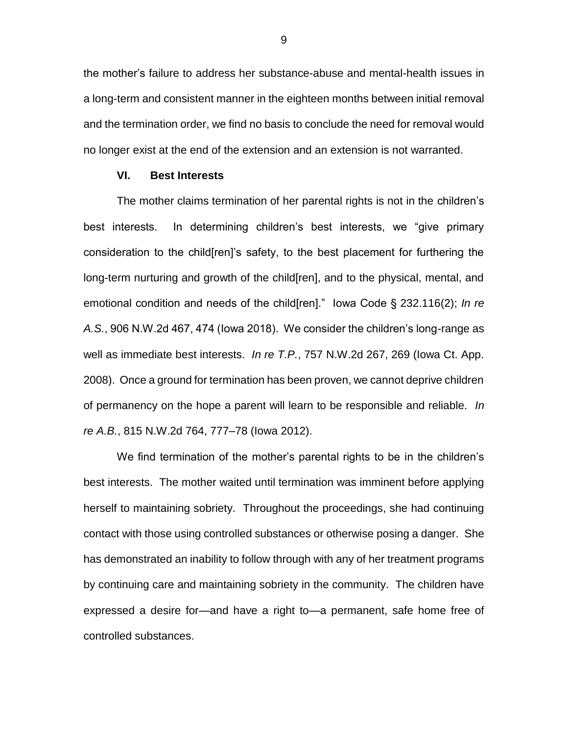the mother's failure to address her substance-abuse and mental-health issues in a long-term and consistent manner in the eighteen months between initial removal and the termination order, we find no basis to conclude the need for removal would no longer exist at the end of the extension and an extension is not warranted.

## **VI. Best Interests**

The mother claims termination of her parental rights is not in the children's best interests. In determining children's best interests, we "give primary consideration to the child[ren]'s safety, to the best placement for furthering the long-term nurturing and growth of the child[ren], and to the physical, mental, and emotional condition and needs of the child[ren]." Iowa Code § 232.116(2); *In re A.S.*, 906 N.W.2d 467, 474 (Iowa 2018). We consider the children's long-range as well as immediate best interests. *In re T.P.*, 757 N.W.2d 267, 269 (Iowa Ct. App. 2008). Once a ground for termination has been proven, we cannot deprive children of permanency on the hope a parent will learn to be responsible and reliable. *In re A.B.*, 815 N.W.2d 764, 777–78 (Iowa 2012).

We find termination of the mother's parental rights to be in the children's best interests. The mother waited until termination was imminent before applying herself to maintaining sobriety. Throughout the proceedings, she had continuing contact with those using controlled substances or otherwise posing a danger. She has demonstrated an inability to follow through with any of her treatment programs by continuing care and maintaining sobriety in the community. The children have expressed a desire for—and have a right to—a permanent, safe home free of controlled substances.